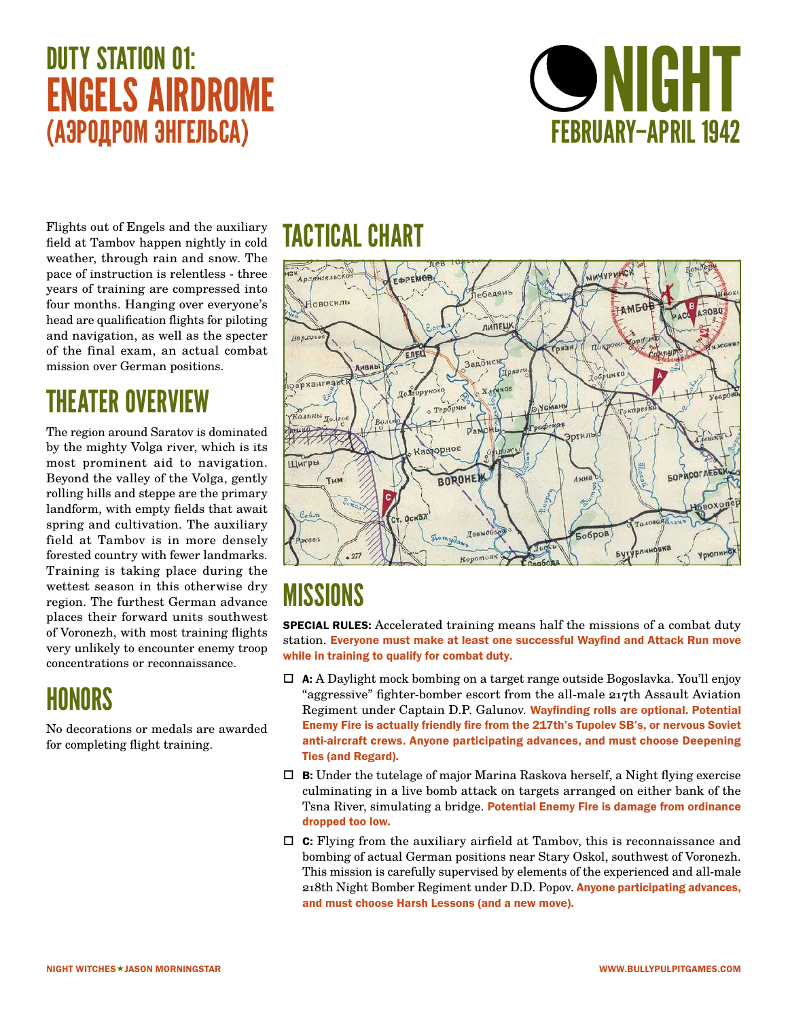# DUTY STATION 01: ENGELS AIRDROME (АЭРОДРОМ ЭНГЕЛЬСА)



Flights out of Engels and the auxiliary field at Tambov happen nightly in cold weather, through rain and snow. The pace of instruction is relentless - three years of training are compressed into four months. Hanging over everyone's head are qualification flights for piloting and navigation, as well as the specter of the final exam, an actual combat mission over German positions.

#### THEATER OVERVIEW

The region around Saratov is dominated by the mighty Volga river, which is its most prominent aid to navigation. Beyond the valley of the Volga, gently rolling hills and steppe are the primary landform, with empty fields that await spring and cultivation. The auxiliary field at Tambov is in more densely forested country with fewer landmarks. Training is taking place during the wettest season in this otherwise dry region. The furthest German advance places their forward units southwest of Voronezh, with most training flights very unlikely to encounter enemy troop concentrations or reconnaissance.

#### HONORS

No decorations or medals are awarded for completing flight training.

#### TACTICAL CHART



# **MISSIONS**

SPECIAL RULES: Accelerated training means half the missions of a combat duty station. Everyone must make at least one successful Wayfind and Attack Run move while in training to qualify for combat duty.

- $\Box$  **A:** A Daylight mock bombing on a target range outside Bogoslavka. You'll enjoy "aggressive" fighter-bomber escort from the all-male 217th Assault Aviation Regiment under Captain D.P. Galunov. Wayfinding rolls are optional. Potential Enemy Fire is actually friendly fire from the 217th's Tupolev SB's, or nervous Soviet anti-aircraft crews. Anyone participating advances, and must choose Deepening Ties (and Regard).
- $\Box$  **B:** Under the tutelage of major Marina Raskova herself, a Night flying exercise culminating in a live bomb attack on targets arranged on either bank of the Tsna River, simulating a bridge. Potential Enemy Fire is damage from ordinance dropped too low.
- $\Box$  **C:** Flying from the auxiliary airfield at Tambov, this is reconnaissance and bombing of actual German positions near Stary Oskol, southwest of Voronezh. This mission is carefully supervised by elements of the experienced and all-male 218th Night Bomber Regiment under D.D. Popov. Anyone participating advances, and must choose Harsh Lessons (and a new move).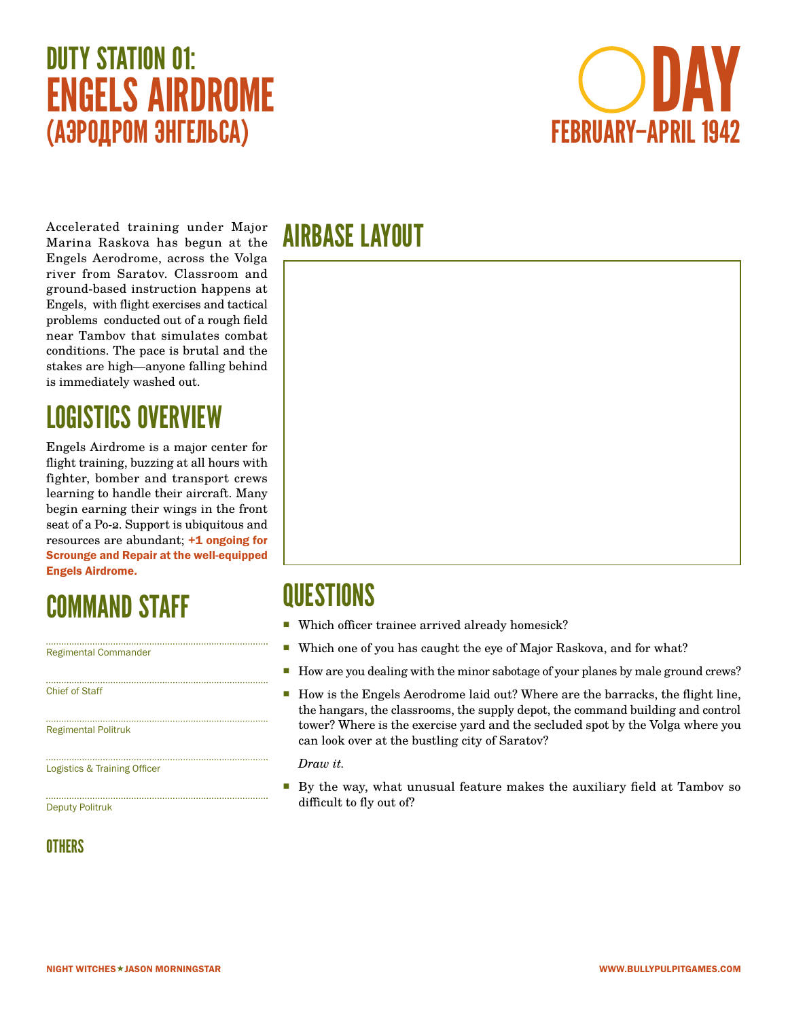# DUTY STATION 01: ENGELS AIRDROME (АЭРОДРОМ ЭНГЕЛЬСА)



Accelerated training under Major Marina Raskova has begun at the Engels Aerodrome, across the Volga river from Saratov. Classroom and ground-based instruction happens at Engels, with flight exercises and tactical problems conducted out of a rough field near Tambov that simulates combat conditions. The pace is brutal and the stakes are high—anyone falling behind is immediately washed out.

# LOGISTICS OVERVIEW

Engels Airdrome is a major center for flight training, buzzing at all hours with fighter, bomber and transport crews learning to handle their aircraft. Many begin earning their wings in the front seat of a Po-2. Support is ubiquitous and resources are abundant;  $+1$  ongoing for Scrounge and Repair at the well-equipped Engels Airdrome.

#### COMMAND STAFF

Regimental Commander

Chief of Staff

Regimental Politruk

Logistics & Training Officer

Deputy Politruk

#### **OTHERS**

#### AIRBASE LAYOUT



#### **QUESTIONS**

- Which officer trainee arrived already homesick?
- Which one of you has caught the eye of Major Raskova, and for what?
- How are you dealing with the minor sabotage of your planes by male ground crews?
- How is the Engels Aerodrome laid out? Where are the barracks, the flight line, the hangars, the classrooms, the supply depot, the command building and control tower? Where is the exercise yard and the secluded spot by the Volga where you can look over at the bustling city of Saratov?

*Draw it.*

By the way, what unusual feature makes the auxiliary field at Tambov so difficult to fly out of?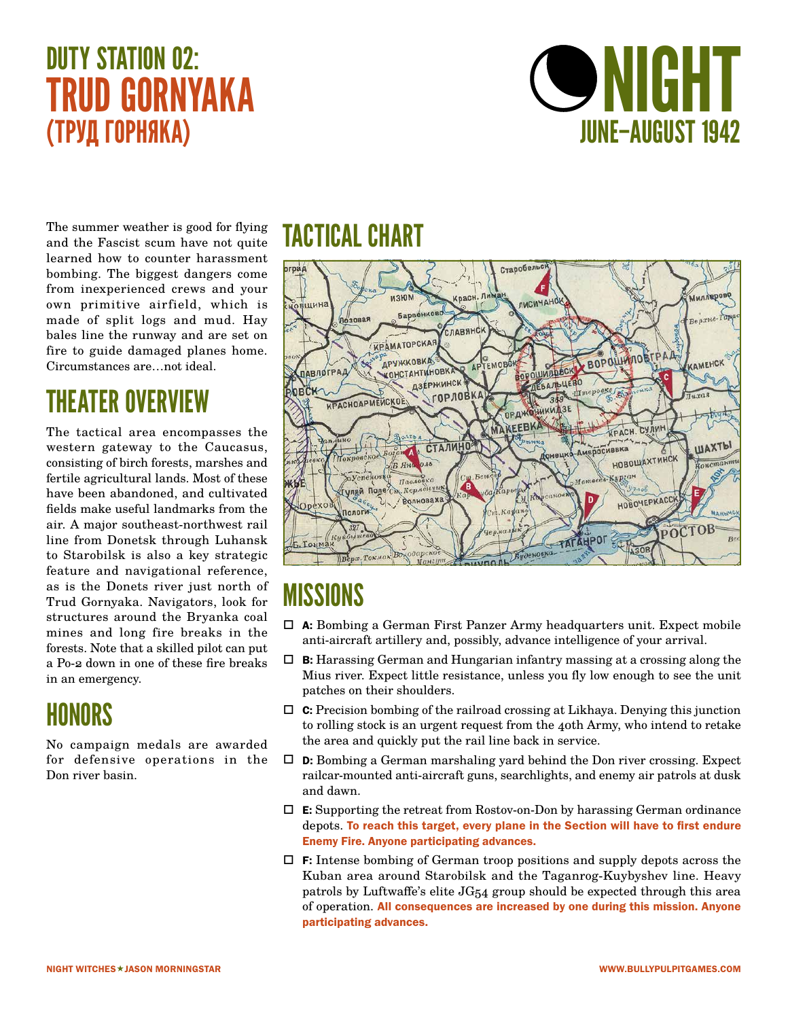# DUTY STATION 02: TRUD GORNYAKA (ТРУД ГОРНЯКA)



The summer weather is good for flying and the Fascist scum have not quite learned how to counter harassment bombing. The biggest dangers come from inexperienced crews and your own primitive airfield, which is made of split logs and mud. Hay bales line the runway and are set on fire to guide damaged planes home. Circumstances are…not ideal.

#### THEATER OVERVIEW

The tactical area encompasses the western gateway to the Caucasus, consisting of birch forests, marshes and fertile agricultural lands. Most of these have been abandoned, and cultivated fields make useful landmarks from the air. A major southeast-northwest rail line from Donetsk through Luhansk to Starobilsk is also a key strategic feature and navigational reference, as is the Donets river just north of Trud Gornyaka. Navigators, look for structures around the Bryanka coal mines and long fire breaks in the forests. Note that a skilled pilot can put a Po-2 down in one of these fire breaks in an emergency.

#### HONORS

No campaign medals are awarded for defensive operations in the Don river basin.

#### TACTICAL CHART



- $\Box$  **A:** Bombing a German First Panzer Army headquarters unit. Expect mobile anti-aircraft artillery and, possibly, advance intelligence of your arrival.
- $\Box$  **B:** Harassing German and Hungarian infantry massing at a crossing along the Mius river. Expect little resistance, unless you fly low enough to see the unit patches on their shoulders.
- $\Box$  **C:** Precision bombing of the railroad crossing at Likhaya. Denying this junction to rolling stock is an urgent request from the 40th Army, who intend to retake the area and quickly put the rail line back in service.
- $\Box$  **D:** Bombing a German marshaling yard behind the Don river crossing. Expect railcar-mounted anti-aircraft guns, searchlights, and enemy air patrols at dusk and dawn.
- $\Box$  **E:** Supporting the retreat from Rostov-on-Don by harassing German ordinance depots. To reach this target, every plane in the Section will have to first endure Enemy Fire. Anyone participating advances.
- $\Box$  F: Intense bombing of German troop positions and supply depots across the Kuban area around Starobilsk and the Taganrog-Kuybyshev line. Heavy patrols by Luftwaffe's elite JG54 group should be expected through this area of operation. All consequences are increased by one during this mission. Anyone participating advances.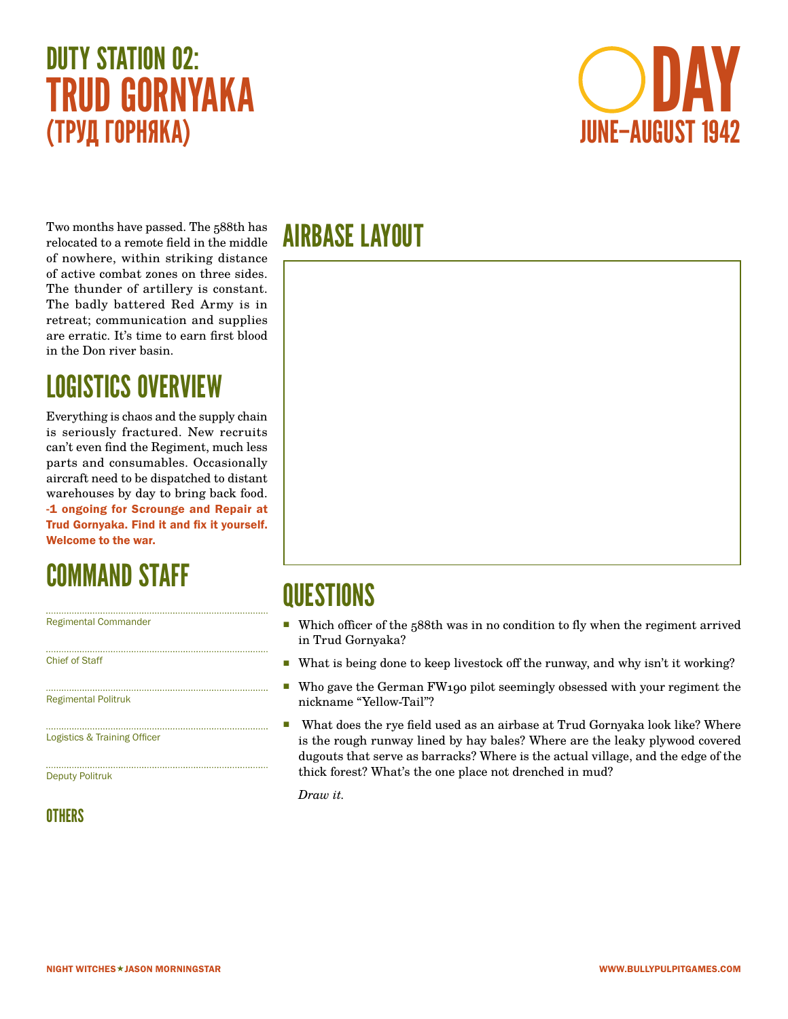# DUTY STATION 02: TRUD GORNYAKA (ТРУД ГОРНЯКA)



Two months have passed. The 588th has relocated to a remote field in the middle of nowhere, within striking distance of active combat zones on three sides. The thunder of artillery is constant. The badly battered Red Army is in retreat; communication and supplies are erratic. It's time to earn first blood in the Don river basin.

#### LOGISTICS OVERVIEW

Everything is chaos and the supply chain is seriously fractured. New recruits can't even find the Regiment, much less parts and consumables. Occasionally aircraft need to be dispatched to distant warehouses by day to bring back food. -1 ongoing for Scrounge and Repair at Trud Gornyaka. Find it and fix it yourself. Welcome to the war.

#### COMMAND STAFF

Regimental Commander

Chief of Staff

Regimental Politruk

Logistics & Training Officer

Deputy Politruk

#### **OTHERS**

#### AIRBASE LAYOUT



#### **QUESTIONS**

- Which officer of the 588th was in no condition to fly when the regiment arrived in Trud Gornyaka?
- What is being done to keep livestock off the runway, and why isn't it working?
- Who gave the German FW190 pilot seemingly obsessed with your regiment the nickname "Yellow-Tail"?
- What does the rye field used as an airbase at Trud Gornyaka look like? Where is the rough runway lined by hay bales? Where are the leaky plywood covered dugouts that serve as barracks? Where is the actual village, and the edge of the thick forest? What's the one place not drenched in mud?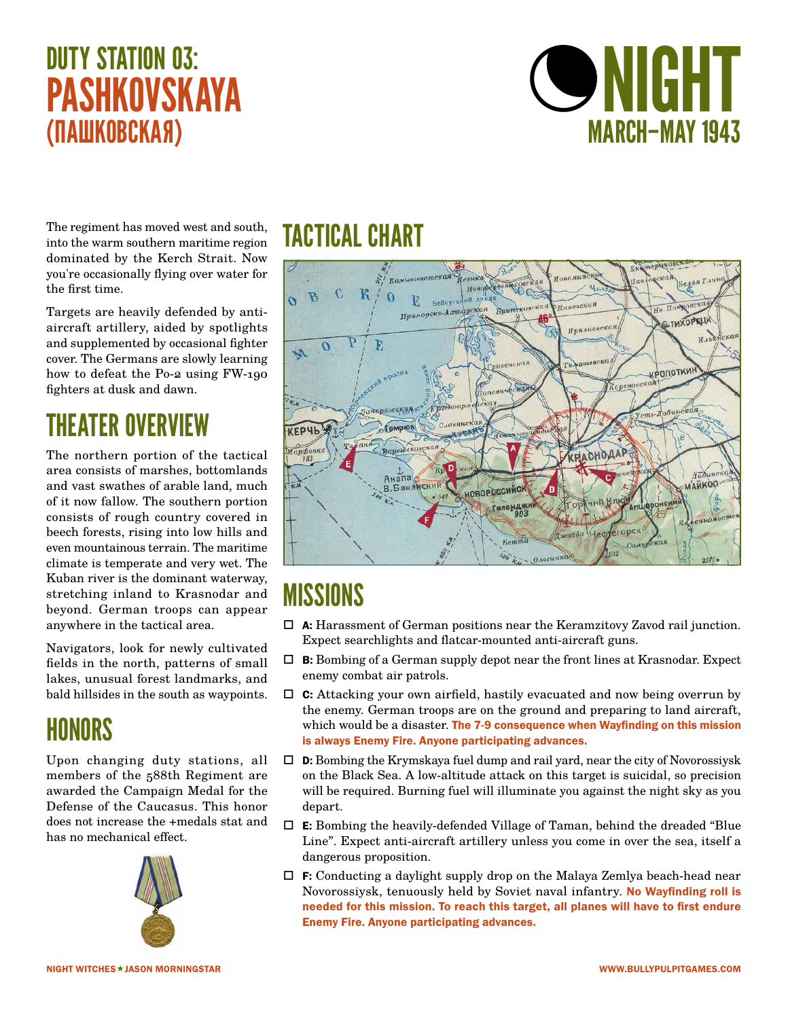# DUTY STATION 03: **PASHKOVSKAYA** (ПАШКОВСКАЯ)



The regiment has moved west and south, into the warm southern maritime region dominated by the Kerch Strait. Now you're occasionally flying over water for the first time.

Targets are heavily defended by antiaircraft artillery, aided by spotlights and supplemented by occasional fighter cover. The Germans are slowly learning how to defeat the Po-2 using FW-190 fighters at dusk and dawn.

# THEATER OVERVIEW

The northern portion of the tactical area consists of marshes, bottomlands and vast swathes of arable land, much of it now fallow. The southern portion consists of rough country covered in beech forests, rising into low hills and even mountainous terrain. The maritime climate is temperate and very wet. The Kuban river is the dominant waterway, stretching inland to Krasnodar and beyond. German troops can appear anywhere in the tactical area.

Navigators, look for newly cultivated fields in the north, patterns of small lakes, unusual forest landmarks, and bald hillsides in the south as waypoints.

#### HONORS

Upon changing duty stations, all members of the 588th Regiment are awarded the Campaign Medal for the Defense of the Caucasus. This honor does not increase the +medals stat and has no mechanical effect.



#### TACTICAL CHART



- $\Box$  **A:** Harassment of German positions near the Keramzitovy Zavod rail junction. Expect searchlights and flatcar-mounted anti-aircraft guns.
- $\Box$  **B:** Bombing of a German supply depot near the front lines at Krasnodar. Expect enemy combat air patrols.
- $\Box$  **C:** Attacking your own airfield, hastily evacuated and now being overrun by the enemy. German troops are on the ground and preparing to land aircraft, which would be a disaster. The 7-9 consequence when Wayfinding on this mission is always Enemy Fire. Anyone participating advances.
- $\Box$  **D:** Bombing the Krymskaya fuel dump and rail yard, near the city of Novorossiysk on the Black Sea. A low-altitude attack on this target is suicidal, so precision will be required. Burning fuel will illuminate you against the night sky as you depart.
- $\Box$  **E:** Bombing the heavily-defended Village of Taman, behind the dreaded "Blue" Line". Expect anti-aircraft artillery unless you come in over the sea, itself a dangerous proposition.
- $\Box$  F: Conducting a daylight supply drop on the Malaya Zemlya beach-head near Novorossiysk, tenuously held by Soviet naval infantry. No Wayfinding roll is needed for this mission. To reach this target, all planes will have to first endure Enemy Fire. Anyone participating advances.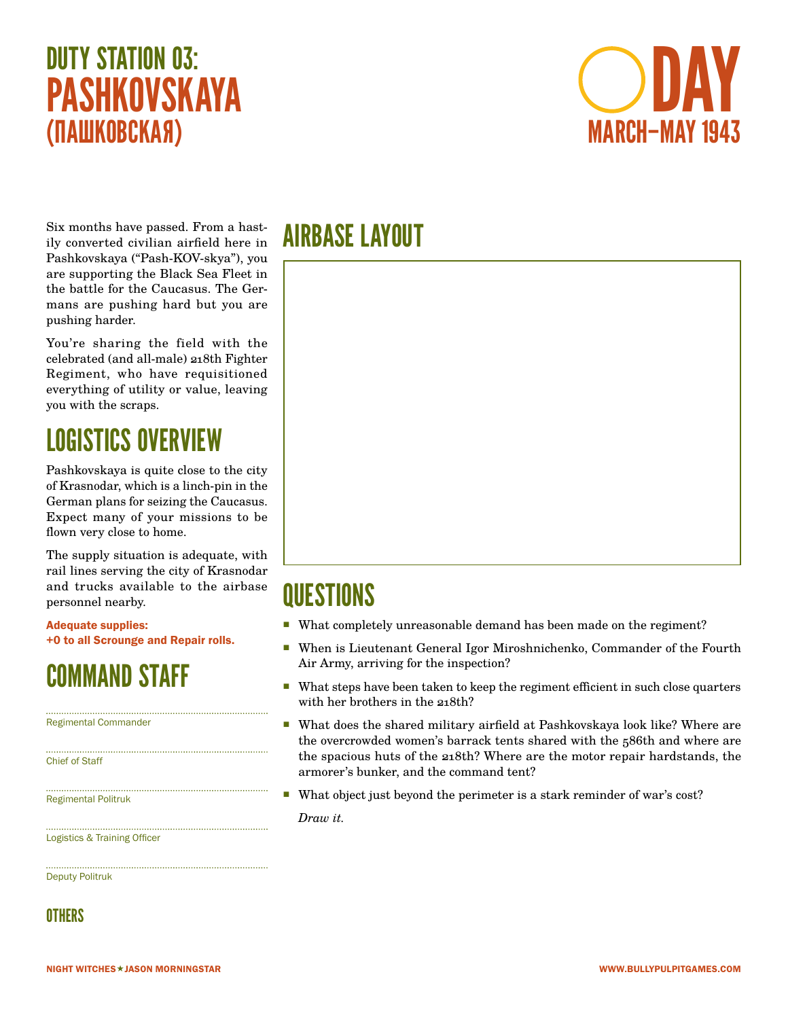



Six months have passed. From a hastily converted civilian airfield here in Pashkovskaya ("Pash-KOV-skya"), you are supporting the Black Sea Fleet in the battle for the Caucasus. The Germans are pushing hard but you are pushing harder.

You're sharing the field with the celebrated (and all-male) 218th Fighter Regiment, who have requisitioned everything of utility or value, leaving you with the scraps.

#### LOGISTICS OVERVIEW

Pashkovskaya is quite close to the city of Krasnodar, which is a linch-pin in the German plans for seizing the Caucasus. Expect many of your missions to be flown very close to home.

The supply situation is adequate, with rail lines serving the city of Krasnodar and trucks available to the airbase personnel nearby.

Adequate supplies: +0 to all Scrounge and Repair rolls.

#### COMMAND STAFF

Regimental Commander

Chief of Staff

Regimental Politruk

Logistics & Training Officer

Deputy Politruk

**OTHERS** 

# AIRBASE LAYOUT



# **QUESTIONS**

- What completely unreasonable demand has been made on the regiment?
- When is Lieutenant General Igor Miroshnichenko, Commander of the Fourth Air Army, arriving for the inspection?
- What steps have been taken to keep the regiment efficient in such close quarters with her brothers in the 218th?
- What does the shared military airfield at Pashkovskaya look like? Where are the overcrowded women's barrack tents shared with the 586th and where are the spacious huts of the 218th? Where are the motor repair hardstands, the armorer's bunker, and the command tent?
- What object just beyond the perimeter is a stark reminder of war's cost?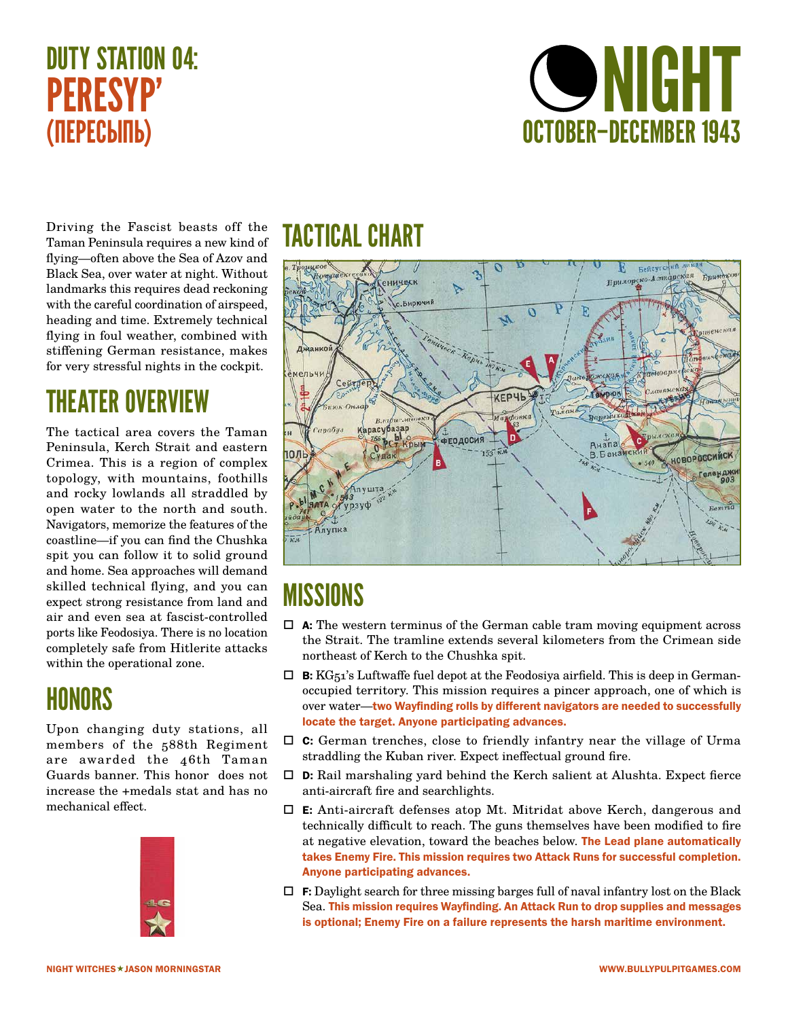# DUTY STATION 04: PERESYP' (ПЕРЕСЫПЬ)



Driving the Fascist beasts off the Taman Peninsula requires a new kind of flying—often above the Sea of Azov and Black Sea, over water at night. Without landmarks this requires dead reckoning with the careful coordination of airspeed, heading and time. Extremely technical flying in foul weather, combined with stiffening German resistance, makes for very stressful nights in the cockpit.

#### THEATER OVERVIEW

The tactical area covers the Taman Peninsula, Kerch Strait and eastern Crimea. This is a region of complex topology, with mountains, foothills and rocky lowlands all straddled by open water to the north and south. Navigators, memorize the features of the coastline—if you can find the Chushka spit you can follow it to solid ground and home. Sea approaches will demand skilled technical flying, and you can expect strong resistance from land and air and even sea at fascist-controlled ports like Feodosiya. There is no location completely safe from Hitlerite attacks within the operational zone.

#### HONORS

Upon changing duty stations, all members of the 588th Regiment are awarded the 46th Taman Guards banner. This honor does not increase the +medals stat and has no mechanical effect.



#### TACTICAL CHART



- $\Box$  **A:** The western terminus of the German cable tram moving equipment across the Strait. The tramline extends several kilometers from the Crimean side northeast of Kerch to the Chushka spit.
- $\Box$  **B:** KG<sub>51</sub>'s Luftwaffe fuel depot at the Feodosiya airfield. This is deep in Germanoccupied territory. This mission requires a pincer approach, one of which is over water—two Wayfinding rolls by different navigators are needed to successfully locate the target. Anyone participating advances.
- $\Box$  **C:** German trenches, close to friendly infantry near the village of Urma straddling the Kuban river. Expect ineffectual ground fire.
- $\Box$  **D:** Rail marshaling yard behind the Kerch salient at Alushta. Expect fierce anti-aircraft fire and searchlights.
- $\Box$  **E:** Anti-aircraft defenses atop Mt. Mitridat above Kerch, dangerous and technically difficult to reach. The guns themselves have been modified to fire at negative elevation, toward the beaches below. The Lead plane automatically takes Enemy Fire. This mission requires two Attack Runs for successful completion. Anyone participating advances.
- $\Box$  F: Daylight search for three missing barges full of naval infantry lost on the Black Sea. This mission requires Wayfinding. An Attack Run to drop supplies and messages is optional; Enemy Fire on a failure represents the harsh maritime environment.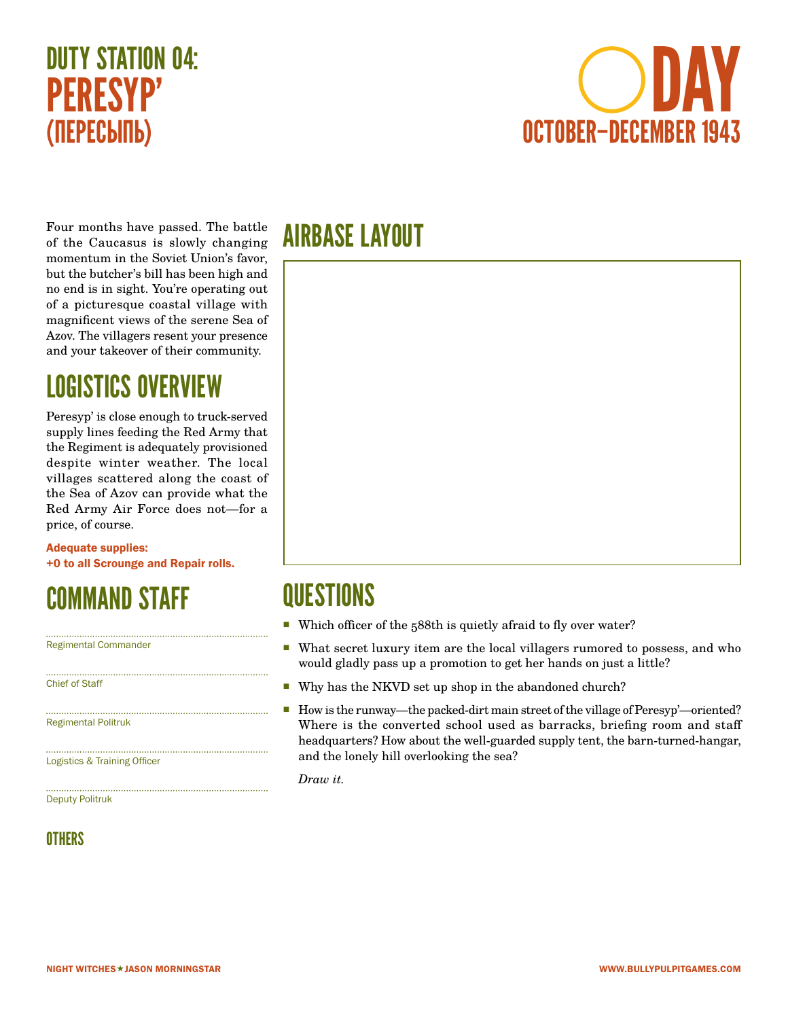



Four months have passed. The battle of the Caucasus is slowly changing momentum in the Soviet Union's favor, but the butcher's bill has been high and no end is in sight. You're operating out of a picturesque coastal village with magnificent views of the serene Sea of Azov. The villagers resent your presence and your takeover of their community.

#### LOGISTICS OVERVIEW

Peresyp' is close enough to truck-served supply lines feeding the Red Army that the Regiment is adequately provisioned despite winter weather. The local villages scattered along the coast of the Sea of Azov can provide what the Red Army Air Force does not—for a price, of course.

Adequate supplies: +0 to all Scrounge and Repair rolls.

#### COMMAND STAFF

Regimental Commander

Chief of Staff

Regimental Politruk

Logistics & Training Officer

Deputy Politruk

#### **OTHERS**

#### AIRBASE LAYOUT



#### **QUESTIONS**

- Which officer of the 588th is quietly afraid to fly over water?
- What secret luxury item are the local villagers rumored to possess, and who would gladly pass up a promotion to get her hands on just a little?
- Why has the NKVD set up shop in the abandoned church?
- How is the runway—the packed-dirt main street of the village of Peresyp'—oriented? Where is the converted school used as barracks, briefing room and staff headquarters? How about the well-guarded supply tent, the barn-turned-hangar, and the lonely hill overlooking the sea?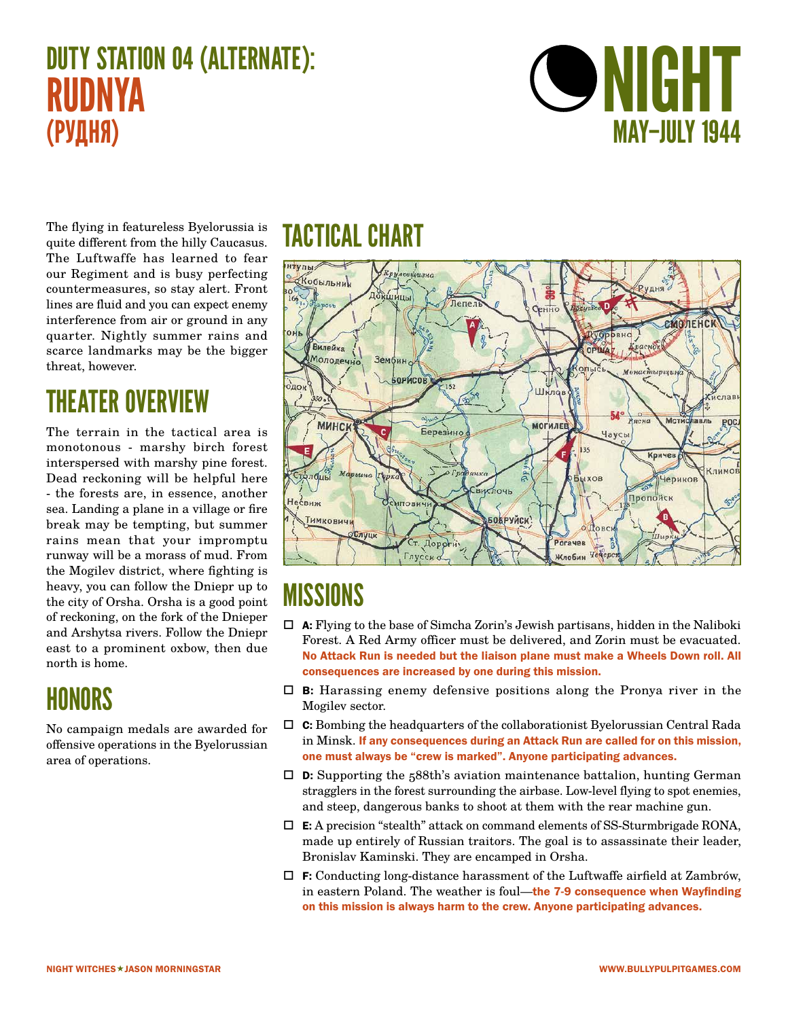# DUTY STATION 04 (ALTERNATE): RUDNYA (РУДНЯ)



The flying in featureless Byelorussia is quite different from the hilly Caucasus. The Luftwaffe has learned to fear our Regiment and is busy perfecting countermeasures, so stay alert. Front lines are fluid and you can expect enemy interference from air or ground in any quarter. Nightly summer rains and scarce landmarks may be the bigger threat, however.

#### THEATER OVERVIEW

The terrain in the tactical area is monotonous - marshy birch forest interspersed with marshy pine forest. Dead reckoning will be helpful here - the forests are, in essence, another sea. Landing a plane in a village or fire break may be tempting, but summer rains mean that your impromptu runway will be a morass of mud. From the Mogilev district, where fighting is heavy, you can follow the Dniepr up to the city of Orsha. Orsha is a good point of reckoning, on the fork of the Dnieper and Arshytsa rivers. Follow the Dniepr east to a prominent oxbow, then due north is home.

#### HONORS

No campaign medals are awarded for offensive operations in the Byelorussian area of operations.

#### TACTICAL CHART



- $\Box$  **A:** Flying to the base of Simcha Zorin's Jewish partisans, hidden in the Naliboki Forest. A Red Army officer must be delivered, and Zorin must be evacuated. No Attack Run is needed but the liaison plane must make a Wheels Down roll. All consequences are increased by one during this mission.
- $\Box$  **B:** Harassing enemy defensive positions along the Pronya river in the Mogilev sector.
- $\Box$  **C:** Bombing the headquarters of the collaborationist Byelorussian Central Rada in Minsk. If any consequences during an Attack Run are called for on this mission, one must always be "crew is marked". Anyone participating advances.
- $\square$  **D:** Supporting the 588th's aviation maintenance battalion, hunting German stragglers in the forest surrounding the airbase. Low-level flying to spot enemies, and steep, dangerous banks to shoot at them with the rear machine gun.
- $\Box$  **E:** A precision "stealth" attack on command elements of SS-Sturmbrigade RONA, made up entirely of Russian traitors. The goal is to assassinate their leader, Bronislav Kaminski. They are encamped in Orsha.
- $\Box$  **F:** Conducting long-distance harassment of the Luftwaffe airfield at Zambrów, in eastern Poland. The weather is foul-the 7-9 consequence when Wayfinding on this mission is always harm to the crew. Anyone participating advances.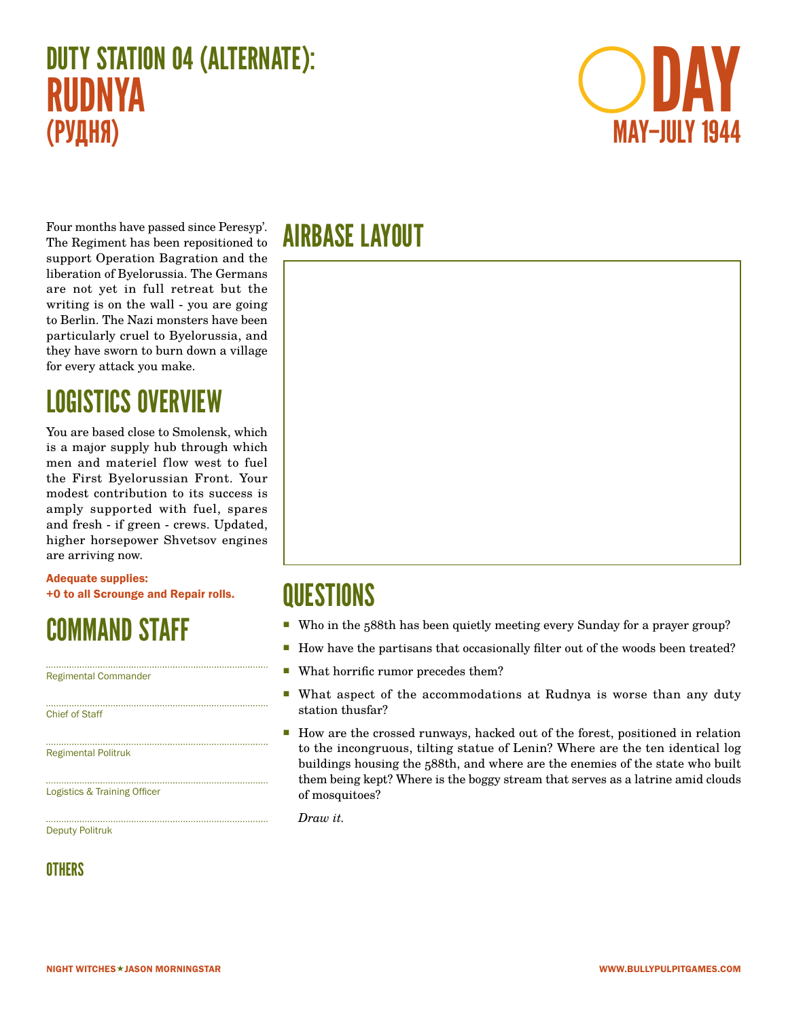# DUTY STATION 04 (ALTERNATE): RUDNYA (РУДНЯ)



Four months have passed since Peresyp'. The Regiment has been repositioned to support Operation Bagration and the liberation of Byelorussia. The Germans are not yet in full retreat but the writing is on the wall - you are going to Berlin. The Nazi monsters have been particularly cruel to Byelorussia, and they have sworn to burn down a village for every attack you make.

# LOGISTICS OVERVIEW

You are based close to Smolensk, which is a major supply hub through which men and materiel flow west to fuel the First Byelorussian Front. Your modest contribution to its success is amply supported with fuel, spares and fresh - if green - crews. Updated, higher horsepower Shvetsov engines are arriving now.

Adequate supplies: +0 to all Scrounge and Repair rolls.

# COMMAND STAFF

Regimental Commander

Chief of Staff

Regimental Politruk

Logistics & Training Officer

Deputy Politruk

**OTHERS** 

#### AIRBASE LAYOUT



#### **QUESTIONS**

- Who in the 588th has been quietly meeting every Sunday for a prayer group?
- How have the partisans that occasionally filter out of the woods been treated?
- What horrific rumor precedes them?
- What aspect of the accommodations at Rudnya is worse than any duty station thusfar?
- **How are the crossed runways, hacked out of the forest, positioned in relation** to the incongruous, tilting statue of Lenin? Where are the ten identical log buildings housing the 588th, and where are the enemies of the state who built them being kept? Where is the boggy stream that serves as a latrine amid clouds of mosquitoes?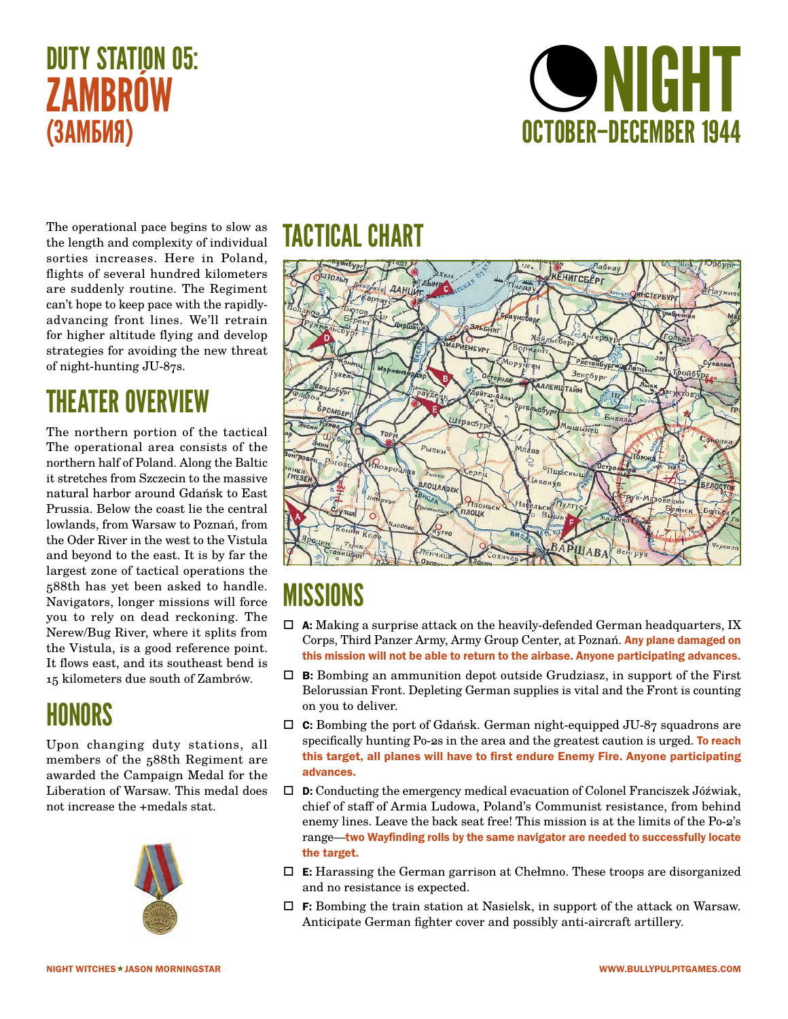# DUTY STATION 05: **ZAMBRÓW** (ЗАМБИЯ)



The operational pace begins to slow as the length and complexity of individual sorties increases. Here in Poland, flights of several hundred kilometers are suddenly routine. The Regiment can't hope to keep pace with the rapidlyadvancing front lines. We'll retrain for higher altitude flying and develop strategies for avoiding the new threat of night-hunting JU-87s.

# THEATER OVERVIEW

The northern portion of the tactical The operational area consists of the northern half of Poland. Along the Baltic it stretches from Szczecin to the massive natural harbor around Gdańsk to East Prussia. Below the coast lie the central lowlands, from Warsaw to Poznań, from the Oder River in the west to the Vistula and beyond to the east. It is by far the largest zone of tactical operations the 588th has yet been asked to handle. Navigators, longer missions will force you to rely on dead reckoning. The Nerew/Bug River, where it splits from the Vistula, is a good reference point. It flows east, and its southeast bend is 15 kilometers due south of Zambrów.

#### HONORS

Upon changing duty stations, all members of the 588th Regiment are awarded the Campaign Medal for the Liberation of Warsaw. This medal does not increase the +medals stat.



#### TACTICAL CHART



- $\Box$  A: Making a surprise attack on the heavily-defended German headquarters, IX Corps, Third Panzer Army, Army Group Center, at Poznań. Any plane damaged on this mission will not be able to return to the airbase. Anyone participating advances.
- $\Box$  **B:** Bombing an ammunition depot outside Grudziasz, in support of the First Belorussian Front. Depleting German supplies is vital and the Front is counting on you to deliver.
- $\Box$  **C:** Bombing the port of Gdańsk. German night-equipped JU-87 squadrons are specifically hunting Po-2s in the area and the greatest caution is urged. To reach this target, all planes will have to first endure Enemy Fire. Anyone participating advances.
- $\square$  **D:** Conducting the emergency medical evacuation of Colonel Franciszek Jóźwiak, chief of staff of Armia Ludowa, Poland's Communist resistance, from behind enemy lines. Leave the back seat free! This mission is at the limits of the Po-2's range—two Wayfinding rolls by the same navigator are needed to successfully locate the target.
- $\Box$  **E:** Harassing the German garrison at Chełmno. These troops are disorganized and no resistance is expected.
- $\Box$  **F:** Bombing the train station at Nasielsk, in support of the attack on Warsaw. Anticipate German fighter cover and possibly anti-aircraft artillery.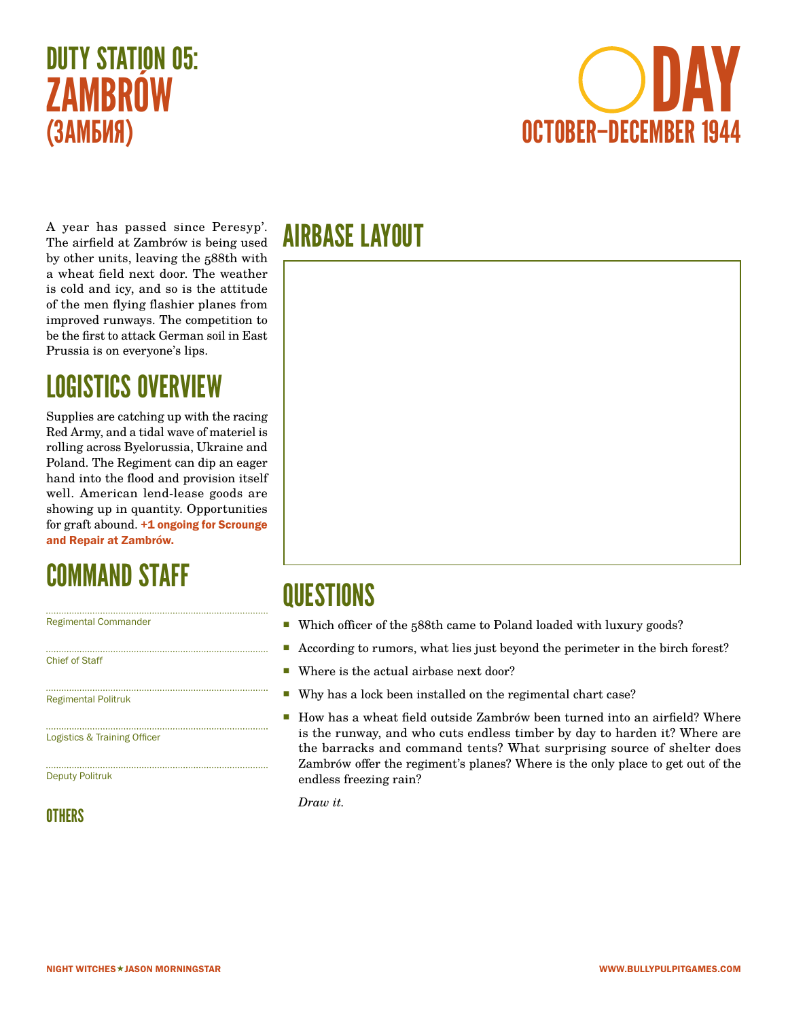# DUTY STATION 05: **7AMBROW** (ЗАМБИЯ)



A year has passed since Peresyp'. The airfield at Zambrów is being used by other units, leaving the 588th with a wheat field next door. The weather is cold and icy, and so is the attitude of the men flying flashier planes from improved runways. The competition to be the first to attack German soil in East Prussia is on everyone's lips.

#### LOGISTICS OVERVIEW

Supplies are catching up with the racing Red Army, and a tidal wave of materiel is rolling across Byelorussia, Ukraine and Poland. The Regiment can dip an eager hand into the flood and provision itself well. American lend-lease goods are showing up in quantity. Opportunities for graft abound. +1 ongoing for Scrounge and Repair at Zambrów.

#### COMMAND STAFF

Regimental Commander

Chief of Staff

Regimental Politruk

Logistics & Training Officer

Deputy Politruk

#### **OTHERS**

#### AIRBASE LAYOUT



#### **QUESTIONS**

- Which officer of the 588th came to Poland loaded with luxury goods?
- According to rumors, what lies just beyond the perimeter in the birch forest?
- Where is the actual airbase next door?
- Why has a lock been installed on the regimental chart case?
- How has a wheat field outside Zambrów been turned into an airfield? Where is the runway, and who cuts endless timber by day to harden it? Where are the barracks and command tents? What surprising source of shelter does Zambrów offer the regiment's planes? Where is the only place to get out of the endless freezing rain?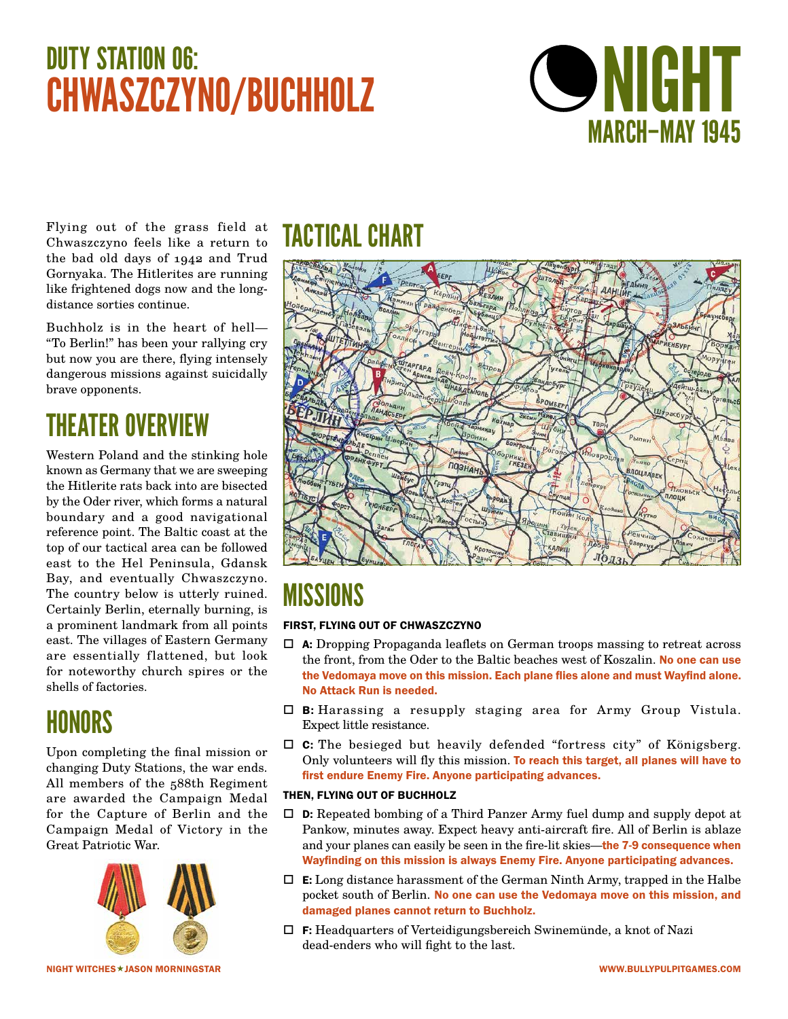# DUTY STATION 06: DUIT STATION US:<br>CHWASZCZYNO/BUCHHOLZ SANTO NIGHT

# MARCH–MAY 1945

Flying out of the grass field at Chwaszczyno feels like a return to the bad old days of 1942 and Trud Gornyaka. The Hitlerites are running like frightened dogs now and the longdistance sorties continue.

Buchholz is in the heart of hell— "To Berlin!" has been your rallying cry but now you are there, flying intensely dangerous missions against suicidally brave opponents.

# THEATER OVERVIEW

Western Poland and the stinking hole known as Germany that we are sweeping the Hitlerite rats back into are bisected by the Oder river, which forms a natural boundary and a good navigational reference point. The Baltic coast at the top of our tactical area can be followed east to the Hel Peninsula, Gdansk Bay, and eventually Chwaszczyno. The country below is utterly ruined. Certainly Berlin, eternally burning, is a prominent landmark from all points east. The villages of Eastern Germany are essentially flattened, but look for noteworthy church spires or the shells of factories.

#### HONORS

Upon completing the final mission or changing Duty Stations, the war ends. All members of the 588th Regiment are awarded the Campaign Medal for the Capture of Berlin and the Campaign Medal of Victory in the Great Patriotic War.



NIGHT WITCHES★JASON MORNINGSTAR WWW.BULLYPULPITGAMES.COM

# TACTICAL CHART



# **MISSIONS**

#### FIRST, FLYING OUT OF CHWASZCZYNO

- A: Dropping Propaganda leaflets on German troops massing to retreat across the front, from the Oder to the Baltic beaches west of Koszalin. No one can use the Vedomaya move on this mission. Each plane flies alone and must Wayfind alone. No Attack Run is needed.
- $\Box$  **B:** Harassing a resupply staging area for Army Group Vistula. Expect little resistance.
- $\Box$  C: The besieged but heavily defended "fortress city" of Königsberg. Only volunteers will fly this mission. To reach this target, all planes will have to first endure Enemy Fire. Anyone participating advances.

#### THEN, FLYING OUT OF BUCHHOLZ

- $\Box$  **D:** Repeated bombing of a Third Panzer Army fuel dump and supply depot at Pankow, minutes away. Expect heavy anti-aircraft fire. All of Berlin is ablaze and your planes can easily be seen in the fire-lit skies—the 7-9 consequence when Wayfinding on this mission is always Enemy Fire. Anyone participating advances.
- $\Box$  **E:** Long distance harassment of the German Ninth Army, trapped in the Halbe pocket south of Berlin. No one can use the Vedomaya move on this mission, and damaged planes cannot return to Buchholz.
- $\Box$  F: Headquarters of Verteidigungsbereich Swinemünde, a knot of Nazi dead-enders who will fight to the last.